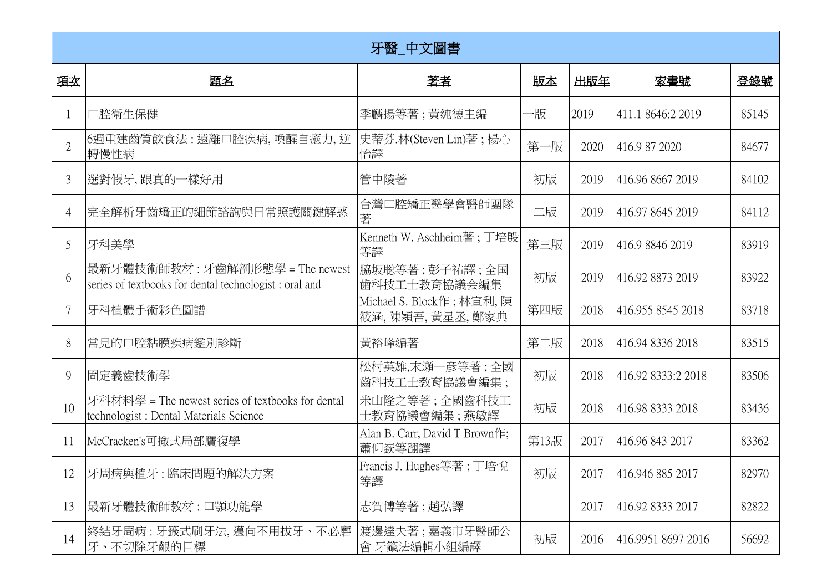|                | 牙醫_中文圖書                                                                                      |                                             |      |      |                    |       |  |
|----------------|----------------------------------------------------------------------------------------------|---------------------------------------------|------|------|--------------------|-------|--|
| 項次             | 題名                                                                                           | 著者                                          | 版本   | 出版年  | 索書號                | 登錄號   |  |
|                | 口腔衛生保健                                                                                       | 季麟揚等著 ; 黃純德主編                               | −服   | 2019 | 411.1 8646:2 2019  | 85145 |  |
| $\overline{2}$ | 6週重建齒質飲食法:遠離口腔疾病,喚醒自癒力,逆<br>轉慢性病                                                             | 史蒂芬.林(Steven Lin)著; 楊心<br>怡譯                | 第一版  | 2020 | 416.9 87 2020      | 84677 |  |
| 3              | 選對假牙,跟真的一樣好用                                                                                 | 管中陵著                                        | 初版   | 2019 | 416.96 8667 2019   | 84102 |  |
| 4              | 完全解析牙齒矯正的細節諮詢與日常照護關鍵解惑                                                                       | 台灣口腔矯正醫學會醫師團隊<br>著                          | 二版   | 2019 | 416.97 8645 2019   | 84112 |  |
| 5              | 牙科美學                                                                                         | Kenneth W. Aschheim著;丁培殷<br>等譯              | 第三版  | 2019 | 416.9 8846 2019    | 83919 |  |
| 6              | 最新牙體技術師教材:牙齒解剖形態學 = The newest<br>series of textbooks for dental technologist : oral and     | 脇坂聡等著;彭子祐譯;全国<br>歯科技工士教育協議会編集               | 初版   | 2019 | 416.92 8873 2019   | 83922 |  |
|                | 牙科植體手術彩色圖譜                                                                                   | Michael S. Block作; 林宣利, 陳<br>筱涵,陳穎吾,黃星丞,鄭家典 | 第四版  | 2018 | 416.955 8545 2018  | 83718 |  |
| 8              | 常見的口腔黏膜疾病鑑別診斷                                                                                | 黃裕峰編著                                       | 第二版  | 2018 | 416.94 8336 2018   | 83515 |  |
| 9              | 固定義齒技術學                                                                                      | 松村英雄,末瀬一彦等著;全國<br>齒科技工士教育協議會編集;             | 初版   | 2018 | 416.92 8333:2 2018 | 83506 |  |
| 10             | 牙科材料學 = The newest series of textbooks for dental<br>technologist : Dental Materials Science | 米山隆之等著;全國齒科技工<br>士教育協議會編集;燕敏譯               | 初版   | 2018 | 416.98 8333 2018   | 83436 |  |
| 11             | McCracken's可撤式局部贋復學                                                                          | Alan B. Carr, David T Brown作;<br>蕭仰嶔等翻譯     | 第13版 | 2017 | 416.96 843 2017    | 83362 |  |
| 12             | 牙周病與植牙:臨床問題的解決方案                                                                             | Francis J. Hughes等著;丁培悅<br>等譯               | 初版   | 2017 | 416.946 885 2017   | 82970 |  |
| 13             | 最新牙體技術師教材 : 口顎功能學                                                                            | 志賀博等著;趙弘譯                                   |      | 2017 | 416.92 8333 2017   | 82822 |  |
| 14             | 終結牙周病 : 牙籤式刷牙法, 邁向不用拔牙、不必磨<br>牙、不切除牙齦的目標                                                     | 渡邊達夫著 ; 嘉義市牙醫師公<br>會 牙籤法編輯小組編譯              | 初版   | 2016 | 416.9951 8697 2016 | 56692 |  |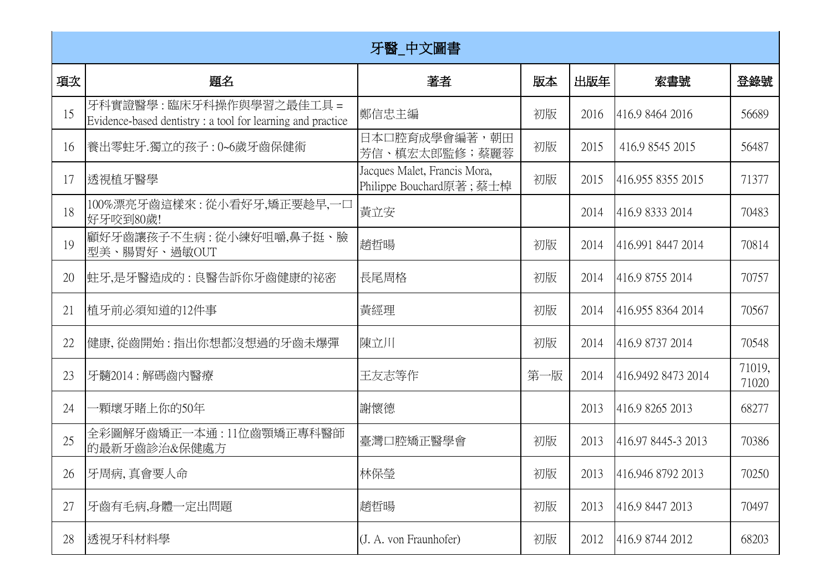|    | 牙醫_中文圖書                                                                                |                                                         |     |      |                    |                 |  |  |
|----|----------------------------------------------------------------------------------------|---------------------------------------------------------|-----|------|--------------------|-----------------|--|--|
| 項次 | 題名                                                                                     | 著者                                                      | 版本  | 出版年  | 索書號                | 登錄號             |  |  |
| 15 | 牙科實證醫學:臨床牙科操作與學習之最佳工具 =<br>Evidence-based dentistry : a tool for learning and practice | 鄭信忠主編                                                   | 初版  | 2016 | 416.9 8464 2016    | 56689           |  |  |
| 16 | 養出零蛀牙.獨立的孩子:0~6歲牙齒保健術                                                                  | 日本口腔育成學會編著,朝田<br>芳信、槙宏太郎監修;蔡麗蓉                          | 初版  | 2015 | 416.9 8545 2015    | 56487           |  |  |
| 17 | 透視植牙醫學                                                                                 | Jacques Malet, Francis Mora,<br>Philippe Bouchard原著;蔡士棹 | 初版  | 2015 | 416.955 8355 2015  | 71377           |  |  |
| 18 | 100%漂亮牙齒這樣來 : 從小看好牙,矯正要趁早,一口<br>好牙咬到80歲!                                               | 黃立安                                                     |     | 2014 | 416.9 8333 2014    | 70483           |  |  |
| 19 | 顧好牙齒讓孩子不生病 : 從小練好咀嚼,鼻子挺、臉<br>型美、腸胃好、過敏OUT                                              | 趙哲暘                                                     | 初版  | 2014 | 416.991 8447 2014  | 70814           |  |  |
| 20 | 蛀牙,是牙醫造成的 : 良醫告訴你牙齒健康的祕密                                                               | 長尾周格                                                    | 初版  | 2014 | 416.9 8755 2014    | 70757           |  |  |
| 21 | 植牙前必須知道的12件事                                                                           | 黃經理                                                     | 初版  | 2014 | 416.955 8364 2014  | 70567           |  |  |
| 22 | 健康,從齒開始:指出你想都沒想過的牙齒未爆彈                                                                 | 陳立川                                                     | 初版  | 2014 | 416.9 8737 2014    | 70548           |  |  |
| 23 | 牙髓2014:解碼齒內醫療                                                                          | 王友志等作                                                   | 第一版 | 2014 | 416.9492 8473 2014 | 71019,<br>71020 |  |  |
| 24 | ·顆壞牙賭上你的50年                                                                            | 謝懷德                                                     |     | 2013 | 416.9 8265 2013    | 68277           |  |  |
| 25 | 全彩圖解牙齒矯正一本通:11位齒顎矯正專科醫師<br>的最新牙齒診治&保健處方                                                | 臺灣口腔矯正醫學會                                               | 初版  | 2013 | 416.97 8445-3 2013 | 70386           |  |  |
| 26 | 牙周病, 真會要人命                                                                             | 林保瑩                                                     | 初版  | 2013 | 416.946 8792 2013  | 70250           |  |  |
| 27 | 牙齒有毛病,身體一定出問題                                                                          | 趙哲暘                                                     | 初版  | 2013 | 416.9 8447 2013    | 70497           |  |  |
| 28 | 透視牙科材料學                                                                                | (J. A. von Fraunhofer)                                  | 初版  | 2012 | 416.9 8744 2012    | 68203           |  |  |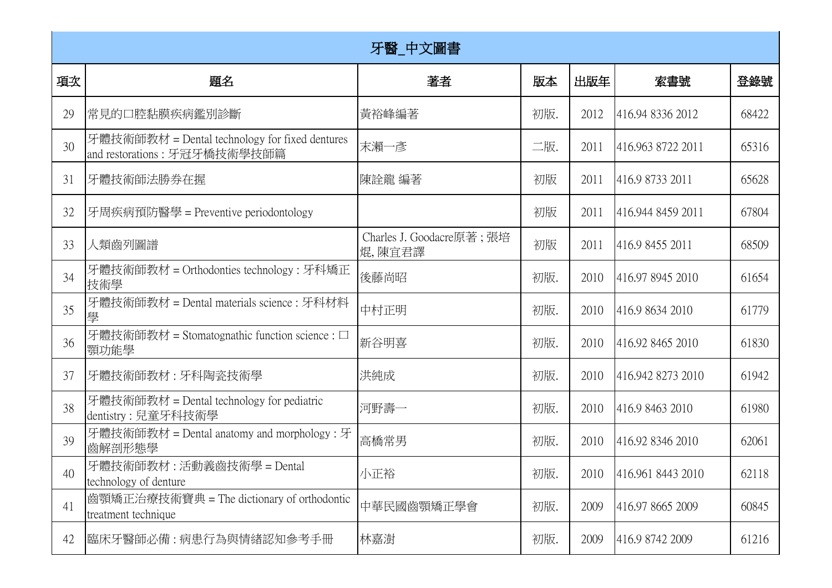|    | 牙醫_中文圖書                                                                        |                                     |     |      |                        |       |  |
|----|--------------------------------------------------------------------------------|-------------------------------------|-----|------|------------------------|-------|--|
| 項次 | 題名                                                                             | 著者                                  | 版本  | 出版年  | 索書號                    | 登錄號   |  |
| 29 | 常見的口腔黏膜疾病鑑別診斷                                                                  | 黃裕峰編著                               | 初版. | 2012 | 416.94 8336 2012       | 68422 |  |
| 30 | 牙體技術師教材 = Dental technology for fixed dentures<br>and restorations: 牙冠牙橋技術學技師篇 | 末瀨一彥                                | 二版. | 2011 | 416.963 8722 2011      | 65316 |  |
| 31 | 牙體技術師法勝券在握                                                                     | 陳詮龍 編著                              | 初版  | 2011 | 416.9 8733 2011        | 65628 |  |
| 32 | 牙周疾病預防醫學 = Preventive periodontology                                           |                                     | 初版  | 2011 | 416.944 8459 2011      | 67804 |  |
| 33 | 人類齒列圖譜                                                                         | Charles J. Goodacre原著; 張培<br>焜,陳宜君譯 | 初版  | 2011 | 416.9 8455 2011        | 68509 |  |
| 34 | 牙體技術師教材 = Orthodonties technology : 牙科矯正<br>技術學                                | 後藤尚昭                                | 初版. | 2010 | 416.97 8945 2010       | 61654 |  |
| 35 | 牙體技術師教材 = Dental materials science : 牙科材料                                      | 中村正明                                | 初版. | 2010 | 416.9 8634 2010        | 61779 |  |
| 36 | 牙體技術師教材 = Stomatognathic function science : □<br>顎功能學                          | 新谷明喜                                | 初版. | 2010 | 416.92 8465 2010       | 61830 |  |
| 37 | 牙體技術師教材:牙科陶瓷技術學                                                                | 洪純成                                 | 初版. | 2010 | 416.942 8273 2010      | 61942 |  |
| 38 | 牙體技術師教材 = Dental technology for pediatric<br>dentistry : 兒童牙科技術學               | 河野壽一                                | 初版. | 2010 | 416.9 8463 2010        | 61980 |  |
| 39 | 牙體技術師教材 = Dental anatomy and morphology : 牙<br>齒解剖形態學                          | 高橋常男                                | 初版. | 2010 | 416.92 8346 2010       | 62061 |  |
| 40 | 牙體技術師教材 : 活動義齒技術學 = Dental<br>technology of denture                            | 小正裕                                 | 初版. |      | 2010 416.961 8443 2010 | 62118 |  |
| 41 | 齒顎矯正治療技術寶典 = The dictionary of orthodontic<br>treatment technique              | 中華民國齒顎矯正學會                          | 初版. | 2009 | 416.97 8665 2009       | 60845 |  |
| 42 | 臨床牙醫師必備 : 病患行為與情緖認知參考手冊                                                        | 林嘉澍                                 | 初版. | 2009 | 416.9 8742 2009        | 61216 |  |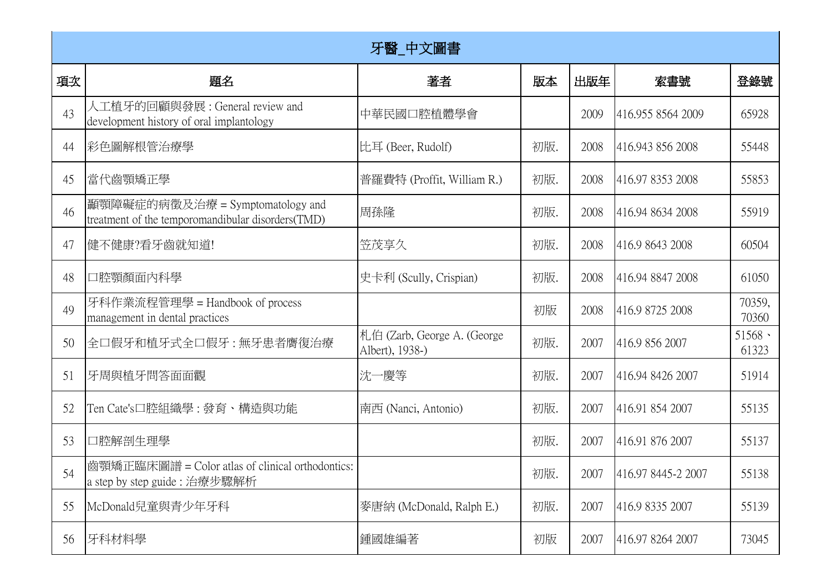|    |                                                                                       | 牙醫_中文圖書                                        |     |      |                    |                          |
|----|---------------------------------------------------------------------------------------|------------------------------------------------|-----|------|--------------------|--------------------------|
| 項次 | 題名                                                                                    | 著者                                             | 版本  | 出版年  | 索書號                | 登錄號                      |
| 43 | 人工植牙的回顧與發展 : General review and<br>development history of oral implantology           | 中華民國口腔植體學會                                     |     | 2009 | 416.955 8564 2009  | 65928                    |
| 44 | 彩色圖解根管治療學                                                                             | 比耳 (Beer, Rudolf)                              | 初版. | 2008 | 416.943 856 2008   | 55448                    |
| 45 | 當代齒顎矯正學                                                                               | 普羅費特 (Proffit, William R.)                     | 初版. | 2008 | 416.97 8353 2008   | 55853                    |
| 46 | 顧顎障礙症的病徵及治療 = Symptomatology and<br>treatment of the temporomandibular disorders(TMD) | 周孫隆                                            | 初版. | 2008 | 416.94 8634 2008   | 55919                    |
| 47 | 健不健康?看牙齒就知道!                                                                          | 笠茂享久                                           | 初版. | 2008 | 416.9 8643 2008    | 60504                    |
| 48 | 口腔顎顏面內科學                                                                              | 史卡利 (Scully, Crispian)                         | 初版. | 2008 | 416.94 8847 2008   | 61050                    |
| 49 | 牙科作業流程管理學 = Handbook of process<br>management in dental practices                     |                                                | 初版  | 2008 | 416.9 8725 2008    | 70359,<br>70360          |
| 50 | 全口假牙和植牙式全口假牙: 無牙患者膺復治療                                                                | 札伯 (Zarb, George A. (George<br>Albert), 1938-) | 初版. | 2007 | 416.9 856 2007     | $51568$ $\cdot$<br>61323 |
| 51 | 牙周與植牙問答面面觀                                                                            | 沈一慶等                                           | 初版. | 2007 | 416.94 8426 2007   | 51914                    |
| 52 | Ten Cate's□腔組織學 : 發育、構造與功能                                                            | 南西 (Nanci, Antonio)                            | 初版. | 2007 | 416.91 854 2007    | 55135                    |
| 53 | 口腔解剖生理學                                                                               |                                                | 初版. | 2007 | 416.91 876 2007    | 55137                    |
| 54 | 齒顎矯正臨床圖譜 = Color atlas of clinical orthodontics:<br>a step by step guide : 治療步驟解析     |                                                | 初版. | 2007 | 416.97 8445-2 2007 | 55138                    |
| 55 | McDonald兒童與青少年牙科                                                                      | 麥唐納 (McDonald, Ralph E.)                       | 初版. | 2007 | 416.9 8335 2007    | 55139                    |
| 56 | 牙科材料學                                                                                 | 鍾國雄編著                                          | 初版  | 2007 | 416.97 8264 2007   | 73045                    |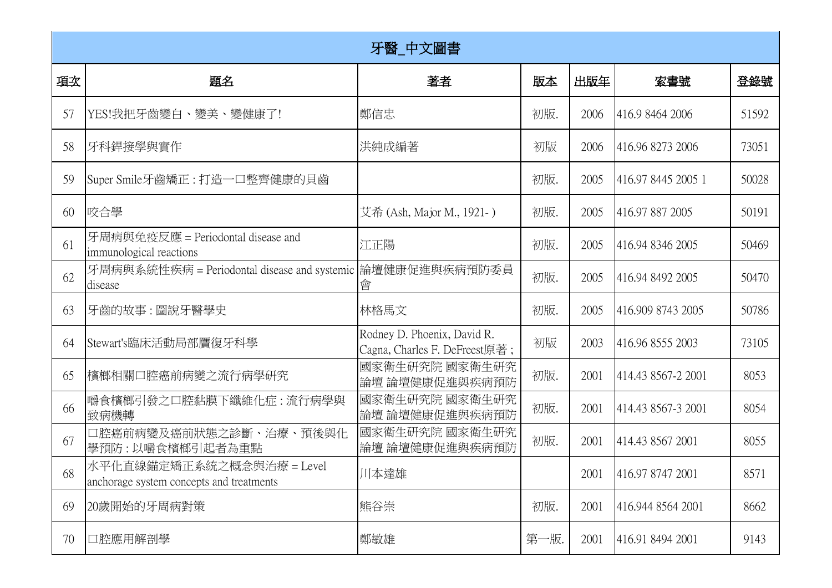|    | 牙醫_中文圖書                                                               |                                                              |      |      |                    |       |  |  |
|----|-----------------------------------------------------------------------|--------------------------------------------------------------|------|------|--------------------|-------|--|--|
| 項次 | 題名                                                                    | 著者                                                           | 版本   | 出版年  | 索書號                | 登錄號   |  |  |
| 57 | YES!我把牙齒變白、變美、變健康了!                                                   | 鄭信忠                                                          | 初版.  | 2006 | 416.9 8464 2006    | 51592 |  |  |
| 58 | 牙科銲接學與實作                                                              | 洪純成編著                                                        | 初版   | 2006 | 416.96 8273 2006   | 73051 |  |  |
| 59 | 【Super Smile牙齒矯正 : 打造一口整齊健康的貝齒                                        |                                                              | 初版.  | 2005 | 416.97 8445 2005 1 | 50028 |  |  |
| 60 | 咬合學                                                                   | 艾希 (Ash, Major M., 1921-)                                    | 初版.  | 2005 | 416.97 887 2005    | 50191 |  |  |
| 61 | 牙周病與免疫反應 = Periodontal disease and<br>immunological reactions         | 江正陽                                                          | 初版.  | 2005 | 416.94 8346 2005   | 50469 |  |  |
| 62 | 牙周病與系統性疾病 = Periodontal disease and systemic<br>disease               | 論壇健康促進與疾病預防委員<br>會                                           | 初版.  | 2005 | 416.94 8492 2005   | 50470 |  |  |
| 63 | 牙齒的故事:圖說牙醫學史                                                          | 林格馬文                                                         | 初版.  | 2005 | 416.909 8743 2005  | 50786 |  |  |
| 64 | Stewart's臨床活動局部贋復牙科學                                                  | Rodney D. Phoenix, David R.<br>Cagna, Charles F. DeFreest原著; | 初版   | 2003 | 416.96 8555 2003   | 73105 |  |  |
| 65 | 檳榔相關口腔癌前病變之流行病學研究                                                     | 國家衛生研究院 國家衛生研究<br>論壇 論壇健康促進與疾病預防                             | 初版.  | 2001 | 414.43 8567-2 2001 | 8053  |  |  |
| 66 | 嚼食檳榔引發之口腔黏膜下纖維化症 : 流行病學與<br>致病機轉                                      | 國家衛生研究院 國家衛生研究<br>論壇 論壇健康促進與疾病預防                             | 初版.  | 2001 | 414.43 8567-3 2001 | 8054  |  |  |
| 67 | 口腔癌前病變及癌前狀態之診斷、治療、預後與化<br>學預防:以嚼食檳榔引起者為重點                             | 國家衛生研究院 國家衛生研究<br>論壇 論壇健康促進與疾病預防                             | 初版.  | 2001 | 414.43 8567 2001   | 8055  |  |  |
| 68 | 水平化直線錨定矯正系統之概念與治療 = Level<br>anchorage system concepts and treatments | 川本達雄                                                         |      | 2001 | 416.97 8747 2001   | 8571  |  |  |
| 69 | 20歲開始的牙周病對策                                                           | 熊谷崇                                                          | 初版.  | 2001 | 416.944 8564 2001  | 8662  |  |  |
| 70 | 口腔應用解剖學                                                               | 鄭敏雄                                                          | 第一版. | 2001 | 416.91 8494 2001   | 9143  |  |  |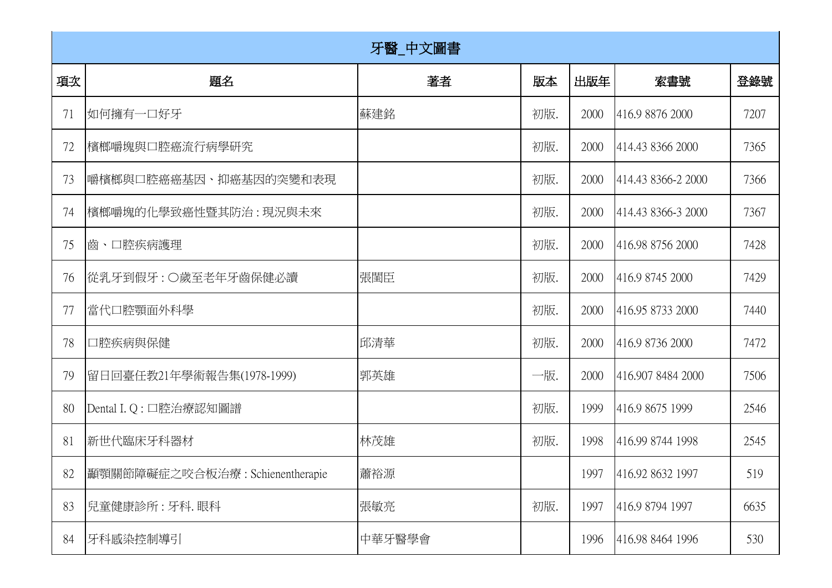|    | 牙醫_中文圖書                             |        |     |      |                       |      |  |  |
|----|-------------------------------------|--------|-----|------|-----------------------|------|--|--|
| 項次 | 題名                                  | 著者     | 版本  | 出版年  | 索書號                   | 登錄號  |  |  |
| 71 | 如何擁有一口好牙                            | 蘇建銘    | 初版. | 2000 | 416.9 8876 2000       | 7207 |  |  |
| 72 | 檳榔嚼塊與口腔癌流行病學研究                      |        | 初版. | 2000 | 414.43 8366 2000      | 7365 |  |  |
| 73 | 嚼檳榔與口腔癌癌基因、抑癌基因的突變和表現               |        | 初版. | 2000 | 414.43 8366-2 2000    | 7366 |  |  |
| 74 | 檳榔嚼塊的化學致癌性暨其防治 : 現況與未來              |        | 初版. | 2000 | 414.43 8366-3 2000    | 7367 |  |  |
| 75 | ■齒、口腔疾病護理                           |        | 初版. | 2000 | 416.98 8756 2000      | 7428 |  |  |
| 76 | 從乳牙到假牙 : ○歲至老年牙齒保健必讀                | 張閨臣    | 初版. | 2000 | 416.9 8745 2000       | 7429 |  |  |
| 77 | 當代口腔顎面外科學                           |        | 初版. | 2000 | 416.95 8733 2000      | 7440 |  |  |
| 78 | 口腔疾病與保健                             | 邱清華    | 初版. | 2000 | 416.9 8736 2000       | 7472 |  |  |
| 79 | 留日回臺任教21年學術報告集(1978-1999)           | 郭英雄    | 一版. | 2000 | 416.907 8484 2000     | 7506 |  |  |
| 80 | Dental I. Q: 口腔治療認知圖譜               |        | 初版. | 1999 | 416.9 8675 1999       | 2546 |  |  |
| 81 | 新世代臨床牙科器材                           | 林茂雄    | 初版. | 1998 | 416.99 8744 1998      | 2545 |  |  |
|    | 82  顳顎關節障礙症之咬合板治療: Schienentherapie | 蕭裕源    |     |      | 1997 416.92 8632 1997 | 519  |  |  |
| 83 | 兒童健康診所:牙科.眼科                        | 張敏亮    | 初版. | 1997 | 416.9 8794 1997       | 6635 |  |  |
| 84 | 牙科感染控制導引                            | 中華牙醫學會 |     | 1996 | 416.98 8464 1996      | 530  |  |  |